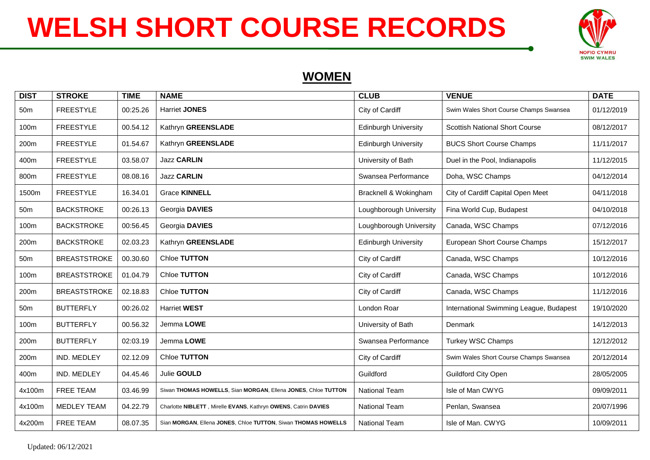

### **WOMEN**

| <b>DIST</b>     | <b>STROKE</b>       | <b>TIME</b> | <b>NAME</b>                                                    | <b>CLUB</b>                 | <b>VENUE</b>                            | <b>DATE</b> |
|-----------------|---------------------|-------------|----------------------------------------------------------------|-----------------------------|-----------------------------------------|-------------|
| 50 <sub>m</sub> | <b>FREESTYLE</b>    | 00:25.26    | <b>Harriet JONES</b>                                           | City of Cardiff             | Swim Wales Short Course Champs Swansea  | 01/12/2019  |
| 100m            | <b>FREESTYLE</b>    | 00.54.12    | Kathryn GREENSLADE                                             | <b>Edinburgh University</b> | <b>Scottish National Short Course</b>   | 08/12/2017  |
| 200m            | <b>FREESTYLE</b>    | 01.54.67    | Kathryn GREENSLADE                                             | <b>Edinburgh University</b> | <b>BUCS Short Course Champs</b>         | 11/11/2017  |
| 400m            | <b>FREESTYLE</b>    | 03.58.07    | <b>Jazz CARLIN</b>                                             | University of Bath          | Duel in the Pool, Indianapolis          | 11/12/2015  |
| 800m            | <b>FREESTYLE</b>    | 08.08.16    | <b>Jazz CARLIN</b>                                             | Swansea Performance         | Doha, WSC Champs                        | 04/12/2014  |
| 1500m           | <b>FREESTYLE</b>    | 16.34.01    | <b>Grace KINNELL</b>                                           | Bracknell & Wokingham       | City of Cardiff Capital Open Meet       | 04/11/2018  |
| 50 <sub>m</sub> | <b>BACKSTROKE</b>   | 00:26.13    | Georgia DAVIES                                                 | Loughborough University     | Fina World Cup, Budapest                | 04/10/2018  |
| 100m            | <b>BACKSTROKE</b>   | 00:56.45    | Georgia DAVIES                                                 | Loughborough University     | Canada, WSC Champs                      | 07/12/2016  |
| 200m            | <b>BACKSTROKE</b>   | 02.03.23    | Kathryn GREENSLADE                                             | <b>Edinburgh University</b> | European Short Course Champs            | 15/12/2017  |
| 50 <sub>m</sub> | <b>BREASTSTROKE</b> | 00.30.60    | Chloe TUTTON                                                   | City of Cardiff             | Canada, WSC Champs                      | 10/12/2016  |
| 100m            | <b>BREASTSTROKE</b> | 01.04.79    | Chloe TUTTON                                                   | City of Cardiff             | Canada, WSC Champs                      | 10/12/2016  |
| 200m            | <b>BREASTSTROKE</b> | 02.18.83    | Chloe TUTTON                                                   | City of Cardiff             | Canada, WSC Champs                      | 11/12/2016  |
| 50 <sub>m</sub> | <b>BUTTERFLY</b>    | 00:26.02    | <b>Harriet WEST</b>                                            | London Roar                 | International Swimming League, Budapest | 19/10/2020  |
| 100m            | <b>BUTTERFLY</b>    | 00.56.32    | Jemma LOWE                                                     | University of Bath          | Denmark                                 | 14/12/2013  |
| 200m            | <b>BUTTERFLY</b>    | 02:03.19    | Jemma LOWE                                                     | Swansea Performance         | <b>Turkey WSC Champs</b>                | 12/12/2012  |
| 200m            | IND. MEDLEY         | 02.12.09    | Chloe TUTTON                                                   | City of Cardiff             | Swim Wales Short Course Champs Swansea  | 20/12/2014  |
| 400m            | IND. MEDLEY         | 04.45.46    | Julie GOULD                                                    | Guildford                   | <b>Guildford City Open</b>              | 28/05/2005  |
| 4x100m          | FREE TEAM           | 03.46.99    | Siwan THOMAS HOWELLS, Sian MORGAN, Ellena JONES, Chloe TUTTON  | <b>National Team</b>        | Isle of Man CWYG                        | 09/09/2011  |
| 4x100m          | <b>MEDLEY TEAM</b>  | 04.22.79    | Charlotte NIBLETT, Mirelle EVANS, Kathryn OWENS, Catrin DAVIES | <b>National Team</b>        | Penlan, Swansea                         | 20/07/1996  |
| 4x200m          | FREE TEAM           | 08.07.35    | Sian MORGAN, Ellena JONES, Chloe TUTTON, Siwan THOMAS HOWELLS  | <b>National Team</b>        | Isle of Man. CWYG                       | 10/09/2011  |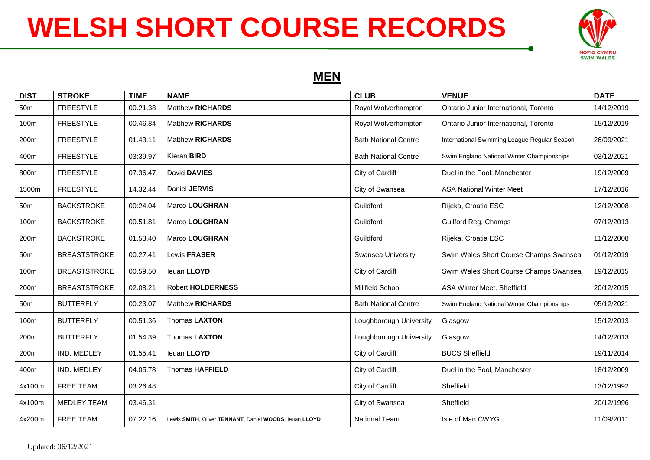

#### **MEN**

| <b>DIST</b>     | <b>STROKE</b>       | <b>TIME</b> | <b>NAME</b>                                            | <b>CLUB</b>                 | <b>VENUE</b>                                 | <b>DATE</b> |
|-----------------|---------------------|-------------|--------------------------------------------------------|-----------------------------|----------------------------------------------|-------------|
| 50 <sub>m</sub> | <b>FREESTYLE</b>    | 00.21.38    | <b>Matthew RICHARDS</b>                                | Royal Wolverhampton         | Ontario Junior International, Toronto        | 14/12/2019  |
| 100m            | <b>FREESTYLE</b>    | 00.46.84    | <b>Matthew RICHARDS</b>                                | Royal Wolverhampton         | Ontario Junior International, Toronto        | 15/12/2019  |
| 200m            | <b>FREESTYLE</b>    | 01.43.11    | <b>Matthew RICHARDS</b>                                | <b>Bath National Centre</b> | International Swimming League Regular Season | 26/09/2021  |
| 400m            | <b>FREESTYLE</b>    | 03:39.97    | Kieran <b>BIRD</b>                                     | <b>Bath National Centre</b> | Swim England National Winter Championships   | 03/12/2021  |
| 800m            | <b>FREESTYLE</b>    | 07.36.47    | David DAVIES                                           | City of Cardiff             | Duel in the Pool, Manchester                 | 19/12/2009  |
| 1500m           | <b>FREESTYLE</b>    | 14.32.44    | Daniel JERVIS                                          | City of Swansea             | <b>ASA National Winter Meet</b>              | 17/12/2016  |
| 50 <sub>m</sub> | <b>BACKSTROKE</b>   | 00:24.04    | Marco LOUGHRAN                                         | Guildford                   | Rijeka, Croatia ESC                          | 12/12/2008  |
| 100m            | <b>BACKSTROKE</b>   | 00.51.81    | Marco LOUGHRAN                                         | Guildford                   | Guilford Reg. Champs                         | 07/12/2013  |
| 200m            | <b>BACKSTROKE</b>   | 01.53.40    | Marco LOUGHRAN                                         | Guildford                   | Rijeka, Croatia ESC                          | 11/12/2008  |
| 50 <sub>m</sub> | <b>BREASTSTROKE</b> | 00.27.41    | Lewis FRASER                                           | Swansea University          | Swim Wales Short Course Champs Swansea       | 01/12/2019  |
| 100m            | <b>BREASTSTROKE</b> | 00.59.50    | leuan LLOYD                                            | City of Cardiff             | Swim Wales Short Course Champs Swansea       | 19/12/2015  |
| 200m            | <b>BREASTSTROKE</b> | 02.08.21    | <b>Robert HOLDERNESS</b>                               | Millfield School            | ASA Winter Meet, Sheffield                   | 20/12/2015  |
| 50 <sub>m</sub> | <b>BUTTERFLY</b>    | 00.23.07    | <b>Matthew RICHARDS</b>                                | <b>Bath National Centre</b> | Swim England National Winter Championships   | 05/12/2021  |
| 100m            | <b>BUTTERFLY</b>    | 00.51.36    | Thomas LAXTON                                          | Loughborough University     | Glasgow                                      | 15/12/2013  |
| 200m            | <b>BUTTERFLY</b>    | 01.54.39    | Thomas LAXTON                                          | Loughborough University     | Glasgow                                      | 14/12/2013  |
| 200m            | IND. MEDLEY         | 01.55.41    | leuan LLOYD                                            | City of Cardiff             | <b>BUCS Sheffield</b>                        | 19/11/2014  |
| 400m            | IND. MEDLEY         | 04.05.78    | <b>Thomas HAFFIELD</b>                                 | City of Cardiff             | Duel in the Pool, Manchester                 | 18/12/2009  |
| 4x100m          | <b>FREE TEAM</b>    | 03.26.48    |                                                        | City of Cardiff             | Sheffield                                    | 13/12/1992  |
| 4x100m          | <b>MEDLEY TEAM</b>  | 03.46.31    |                                                        | City of Swansea             | Sheffield                                    | 20/12/1996  |
| 4x200m          | <b>FREE TEAM</b>    | 07.22.16    | Lewis SMITH, Oliver TENNANT, Daniel WOODS, leuan LLOYD | National Team               | Isle of Man CWYG                             | 11/09/2011  |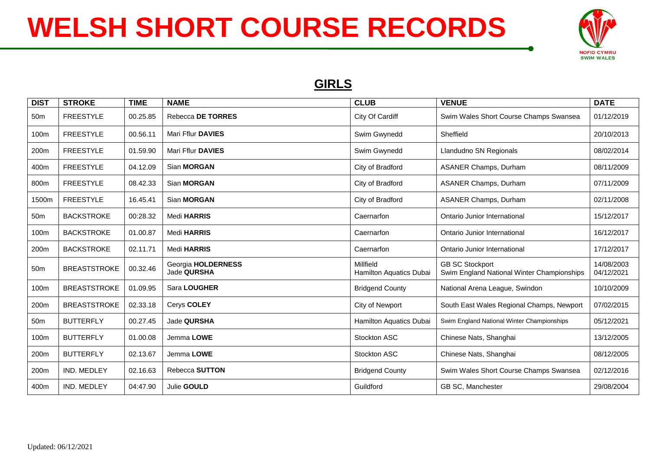

## **GIRLS**

| <b>DIST</b>     | <b>STROKE</b>       | <b>TIME</b> | <b>NAME</b>                       | <b>CLUB</b>                          | <b>VENUE</b>                                                         | <b>DATE</b>              |
|-----------------|---------------------|-------------|-----------------------------------|--------------------------------------|----------------------------------------------------------------------|--------------------------|
| 50 <sub>m</sub> | <b>FREESTYLE</b>    | 00.25.85    | Rebecca DE TORRES                 | City Of Cardiff                      | Swim Wales Short Course Champs Swansea                               | 01/12/2019               |
| 100m            | <b>FREESTYLE</b>    | 00.56.11    | Mari Fflur DAVIES                 | Swim Gwynedd                         | Sheffield                                                            | 20/10/2013               |
| 200m            | <b>FREESTYLE</b>    | 01.59.90    | Mari Fflur DAVIES                 | Swim Gwynedd                         | Llandudno SN Regionals                                               | 08/02/2014               |
| 400m            | <b>FREESTYLE</b>    | 04.12.09    | Sian <b>MORGAN</b>                | City of Bradford                     | <b>ASANER Champs, Durham</b>                                         | 08/11/2009               |
| 800m            | <b>FREESTYLE</b>    | 08.42.33    | Sian <b>MORGAN</b>                | City of Bradford                     | <b>ASANER Champs, Durham</b>                                         | 07/11/2009               |
| 1500m           | <b>FREESTYLE</b>    | 16.45.41    | Sian MORGAN                       | City of Bradford                     | <b>ASANER Champs, Durham</b>                                         | 02/11/2008               |
| 50 <sub>m</sub> | <b>BACKSTROKE</b>   | 00:28.32    | Medi HARRIS                       | Caernarfon                           | Ontario Junior International                                         | 15/12/2017               |
| 100m            | <b>BACKSTROKE</b>   | 01.00.87    | Medi HARRIS                       | Caernarfon                           | Ontario Junior International                                         | 16/12/2017               |
| 200m            | <b>BACKSTROKE</b>   | 02.11.71    | Medi HARRIS                       | Caernarfon                           | Ontario Junior International                                         | 17/12/2017               |
| 50 <sub>m</sub> | <b>BREASTSTROKE</b> | 00.32.46    | Georgia HOLDERNESS<br>Jade QURSHA | Millfield<br>Hamilton Aquatics Dubai | <b>GB SC Stockport</b><br>Swim England National Winter Championships | 14/08/2003<br>04/12/2021 |
| 100m            | <b>BREASTSTROKE</b> | 01.09.95    | Sara LOUGHER                      | <b>Bridgend County</b>               | National Arena League, Swindon                                       | 10/10/2009               |
| 200m            | <b>BREASTSTROKE</b> | 02.33.18    | Cerys COLEY                       | City of Newport                      | South East Wales Regional Champs, Newport                            | 07/02/2015               |
| 50 <sub>m</sub> | <b>BUTTERFLY</b>    | 00.27.45    | Jade QURSHA                       | Hamilton Aquatics Dubai              | Swim England National Winter Championships                           | 05/12/2021               |
| 100m            | <b>BUTTERFLY</b>    | 01.00.08    | Jemma LOWE                        | Stockton ASC                         | Chinese Nats, Shanghai                                               | 13/12/2005               |
| 200m            | <b>BUTTERFLY</b>    | 02.13.67    | Jemma LOWE                        | Stockton ASC                         | Chinese Nats, Shanghai                                               | 08/12/2005               |
| 200m            | IND. MEDLEY         | 02.16.63    | Rebecca SUTTON                    | <b>Bridgend County</b>               | Swim Wales Short Course Champs Swansea                               | 02/12/2016               |
| 400m            | IND. MEDLEY         | 04:47.90    | Julie GOULD                       | Guildford                            | GB SC, Manchester                                                    | 29/08/2004               |